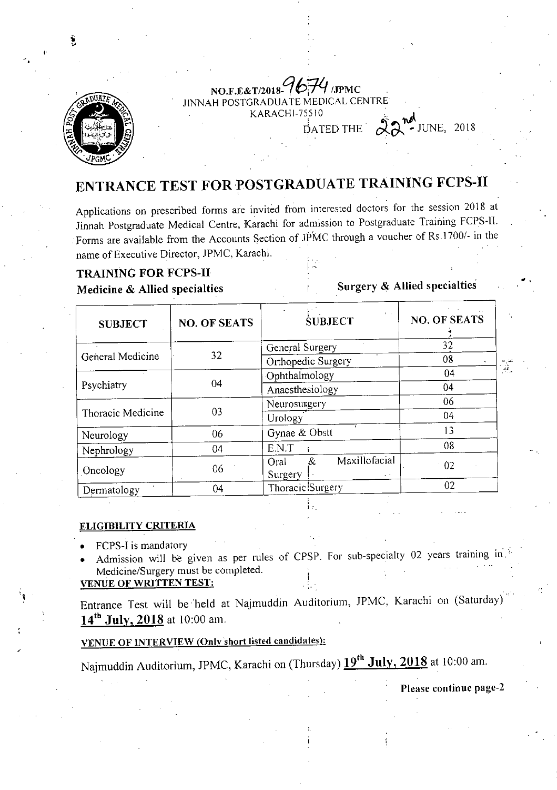

#### NO.F.E&T/2018-*967-* /JPMC *LI*  JINNAH POSTGRADUATE MEDICAL CENTRE KARACHI-75510  $D$ ATED THE  $2018$

# ENTRANCE TEST FOR POSTGRADUATE TRAINING FCPS-II

Applications on prescribed forms are invited from interested doctors for the session 2018 at Jinnah Postgraduate Medical Centre, Karachi for admission to Postgraduate Training FCPS-11. Forms are available from the Accounts Section of JPMC through a voucher of Rs.1700/- in the name of Executive Director, JPMC, Karachi.

#### TRAINING FOR FCPS-II

Medicine & Allied specialties

Surgery & Allied specialties

| <b>SUBJECT</b>    | <b>NO. OF SEATS</b> | k in<br><b>SUBJECT</b>                          | <b>NO. OF SEATS</b> |
|-------------------|---------------------|-------------------------------------------------|---------------------|
| General Medicine  | 32                  | General Surgery                                 | 32                  |
|                   |                     | Orthopedic Surgery                              | 08                  |
| Psychiatry        | 04                  | Ophthalmology                                   | 04                  |
|                   |                     | Anaesthesiology                                 | 04                  |
| Thoracic Medicine | 03                  | Neurosurgery                                    | 06                  |
|                   |                     | Urology                                         | 04                  |
| Neurology         | 06                  | Gynae & Obstt                                   | 13                  |
| Nephrology        | 04                  | E.N.T                                           | 08                  |
| Oncology          | 06                  | Maxillofacial<br>&<br>Oral<br>Surgery<br>$\sim$ | 02                  |
| Dermatology       | 04                  | Thoracic Surgery                                | 02                  |

#### ELIGIBILITY CRITERIA

FCPS-I is mandatory

Admission will be given as per rules of CPSP. For sub-specialty 02 years training in: Medicine/Surgery must be completed.

#### VENUE OF WRITTEN TEST:

Entrance Test will be held at Najmuddin Auditorium, JPMC, Karachi on (Saturday)  $14^{th}$  July, 2018 at 10:00 am.

### VENUE OF INTERVIEW (Only short listed candidates):

Najmuddin Auditorium, JPMC, Karachi on (Thursday)  $19^{th}$  July, 2018 at 10:00 am.

Please continue page-2